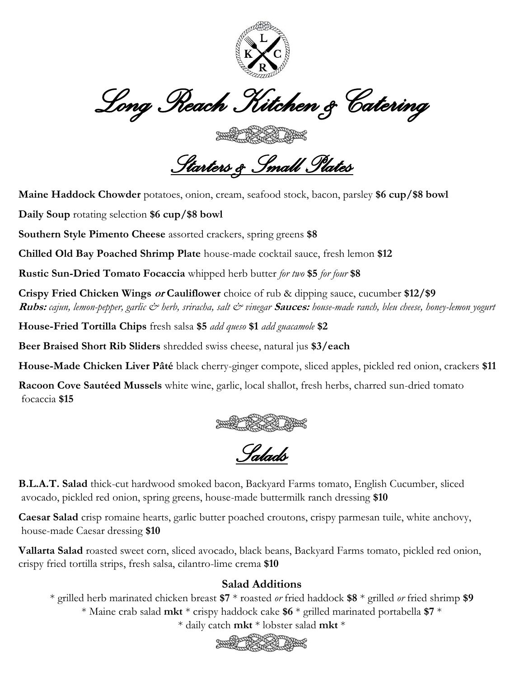

*Long Reach Kitchen & Catering* 

*Starters & Small Plates* 

**Maine Haddock Chowder** potatoes, onion, cream, seafood stock, bacon, parsley **\$6 cup/\$8 bowl**

**Daily Soup** rotating selection **\$6 cup/\$8 bowl**

**Southern Style Pimento Cheese** assorted crackers, spring greens **\$8**

**Chilled Old Bay Poached Shrimp Plate** house-made cocktail sauce, fresh lemon **\$12**

**Rustic Sun-Dried Tomato Focaccia** whipped herb butter *for two* **\$5** *for four* **\$8**

**Crispy Fried Chicken Wings or Cauliflower** choice of rub & dipping sauce, cucumber **\$12/\$9 Rubs:** *cajun, lemon-pepper, garlic & herb, sriracha, salt & vinegar* **Sauces:** *house-made ranch, bleu cheese, honey-lemon yogurt* 

**House-Fried Tortilla Chips** fresh salsa **\$5** *add queso* **\$1** *add guacamole* **\$2**

**Beer Braised Short Rib Sliders** shredded swiss cheese, natural jus **\$3/each**

**House-Made Chicken Liver Pâté** black cherry-ginger compote, sliced apples, pickled red onion, crackers **\$11**

**Racoon Cove Sautéed Mussels** white wine, garlic, local shallot, fresh herbs, charred sun-dried tomato focaccia **\$15**



*Salads* 

**B.L.A.T. Salad** thick-cut hardwood smoked bacon, Backyard Farms tomato, English Cucumber, sliced avocado, pickled red onion, spring greens, house-made buttermilk ranch dressing **\$10**

**Caesar Salad** crisp romaine hearts, garlic butter poached croutons, crispy parmesan tuile, white anchovy, house-made Caesar dressing **\$10**

**Vallarta Salad** roasted sweet corn, sliced avocado, black beans, Backyard Farms tomato, pickled red onion, crispy fried tortilla strips, fresh salsa, cilantro-lime crema **\$10**

## **Salad Additions**

\* grilled herb marinated chicken breast **\$7** \* roasted *or* fried haddock **\$8** \* grilled *or* fried shrimp **\$9** \* Maine crab salad **mkt** \* crispy haddock cake **\$6** \* grilled marinated portabella **\$7** \*

\* daily catch **mkt** \* lobster salad **mkt** \*